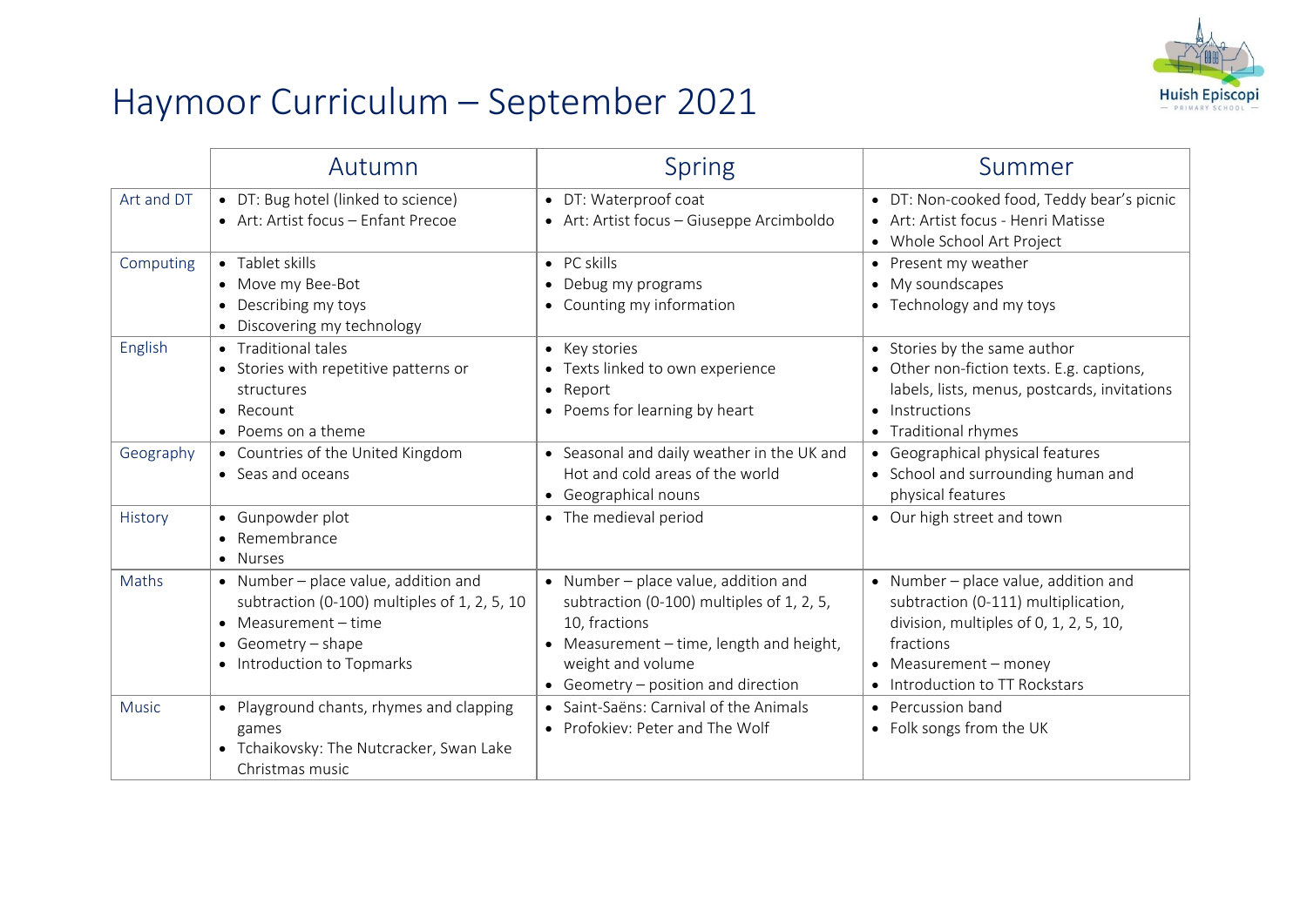## Haymoor Curriculum – September 2021



|              | Autumn                                                                                                                                                           | <b>Spring</b>                                                                                                                                                                                              | Summer                                                                                                                                                                                        |
|--------------|------------------------------------------------------------------------------------------------------------------------------------------------------------------|------------------------------------------------------------------------------------------------------------------------------------------------------------------------------------------------------------|-----------------------------------------------------------------------------------------------------------------------------------------------------------------------------------------------|
| Art and DT   | • DT: Bug hotel (linked to science)<br>• Art: Artist focus - Enfant Precoe                                                                                       | • DT: Waterproof coat<br>• Art: Artist focus - Giuseppe Arcimboldo                                                                                                                                         | • DT: Non-cooked food, Teddy bear's picnic<br>• Art: Artist focus - Henri Matisse<br>• Whole School Art Project                                                                               |
| Computing    | $\bullet$ Tablet skills<br>• Move my Bee-Bot<br>• Describing my toys<br>• Discovering my technology                                                              | $\bullet$ PC skills<br>Debug my programs<br>• Counting my information                                                                                                                                      | • Present my weather<br>• My soundscapes<br>• Technology and my toys                                                                                                                          |
| English      | • Traditional tales<br>• Stories with repetitive patterns or<br>structures<br>$\bullet$ Recount<br>• Poems on a theme                                            | • Key stories<br>• Texts linked to own experience<br>• Report<br>• Poems for learning by heart                                                                                                             | • Stories by the same author<br>• Other non-fiction texts. E.g. captions,<br>labels, lists, menus, postcards, invitations<br>• Instructions<br>• Traditional rhymes                           |
| Geography    | • Countries of the United Kingdom<br>• Seas and oceans                                                                                                           | • Seasonal and daily weather in the UK and<br>Hot and cold areas of the world<br>• Geographical nouns                                                                                                      | • Geographical physical features<br>• School and surrounding human and<br>physical features                                                                                                   |
| History      | • Gunpowder plot<br>• Remembrance<br>• Nurses                                                                                                                    | • The medieval period                                                                                                                                                                                      | • Our high street and town                                                                                                                                                                    |
| Maths        | • Number - place value, addition and<br>subtraction (0-100) multiples of 1, 2, 5, 10<br>• Measurement - time<br>• Geometry - shape<br>• Introduction to Topmarks | • Number - place value, addition and<br>subtraction (0-100) multiples of 1, 2, 5,<br>10, fractions<br>• Measurement – time, length and height,<br>weight and volume<br>• Geometry – position and direction | • Number – place value, addition and<br>subtraction (0-111) multiplication,<br>division, multiples of 0, 1, 2, 5, 10,<br>fractions<br>• Measurement - money<br>• Introduction to TT Rockstars |
| <b>Music</b> | • Playground chants, rhymes and clapping<br>games<br>• Tchaikovsky: The Nutcracker, Swan Lake<br>Christmas music                                                 | • Saint-Saëns: Carnival of the Animals<br>• Profokiev: Peter and The Wolf                                                                                                                                  | • Percussion band<br>• Folk songs from the UK                                                                                                                                                 |